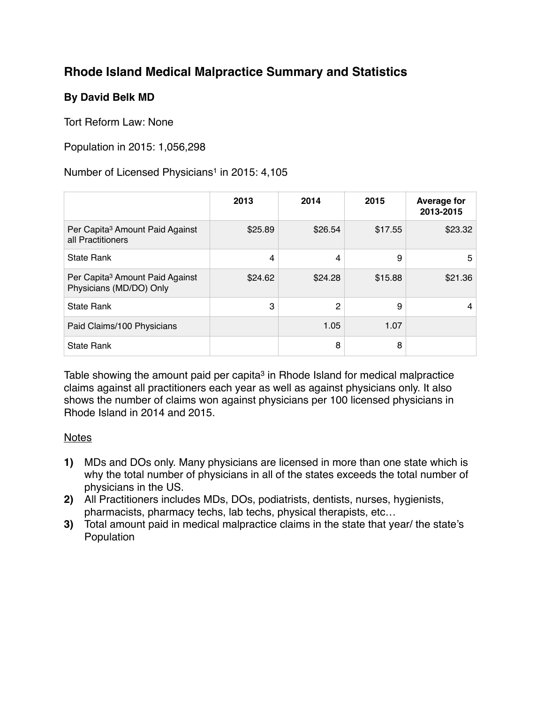# **Rhode Island Medical Malpractice Summary and Statistics**

# **By David Belk MD**

Tort Reform Law: None

## Population in 2015: 1,056,298

### Number of Licensed Physicians<sup>1</sup> in 2015: 4,105

|                                                                        | 2013    | 2014    | 2015    | <b>Average for</b><br>2013-2015 |
|------------------------------------------------------------------------|---------|---------|---------|---------------------------------|
| Per Capita <sup>3</sup> Amount Paid Against<br>all Practitioners       | \$25.89 | \$26.54 | \$17.55 | \$23.32                         |
| <b>State Rank</b>                                                      | 4       | 4       | 9       | 5                               |
| Per Capita <sup>3</sup> Amount Paid Against<br>Physicians (MD/DO) Only | \$24.62 | \$24.28 | \$15.88 | \$21.36                         |
| <b>State Rank</b>                                                      | 3       | 2       | 9       | 4                               |
| Paid Claims/100 Physicians                                             |         | 1.05    | 1.07    |                                 |
| <b>State Rank</b>                                                      |         | 8       | 8       |                                 |

Table showing the amount paid per capita<sup>3</sup> in Rhode Island for medical malpractice claims against all practitioners each year as well as against physicians only. It also shows the number of claims won against physicians per 100 licensed physicians in Rhode Island in 2014 and 2015.

#### **Notes**

- **1)** MDs and DOs only. Many physicians are licensed in more than one state which is why the total number of physicians in all of the states exceeds the total number of physicians in the US.
- **2)** All Practitioners includes MDs, DOs, podiatrists, dentists, nurses, hygienists, pharmacists, pharmacy techs, lab techs, physical therapists, etc…
- **3)** Total amount paid in medical malpractice claims in the state that year/ the state's Population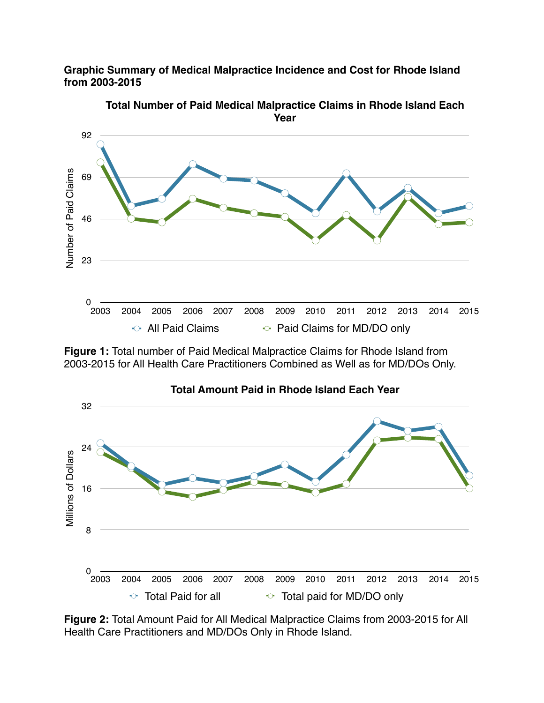**Graphic Summary of Medical Malpractice Incidence and Cost for Rhode Island from 2003-2015**



**Total Number of Paid Medical Malpractice Claims in Rhode Island Each Year**

**Figure 1:** Total number of Paid Medical Malpractice Claims for Rhode Island from 2003-2015 for All Health Care Practitioners Combined as Well as for MD/DOs Only.



**Figure 2:** Total Amount Paid for All Medical Malpractice Claims from 2003-2015 for All Health Care Practitioners and MD/DOs Only in Rhode Island.